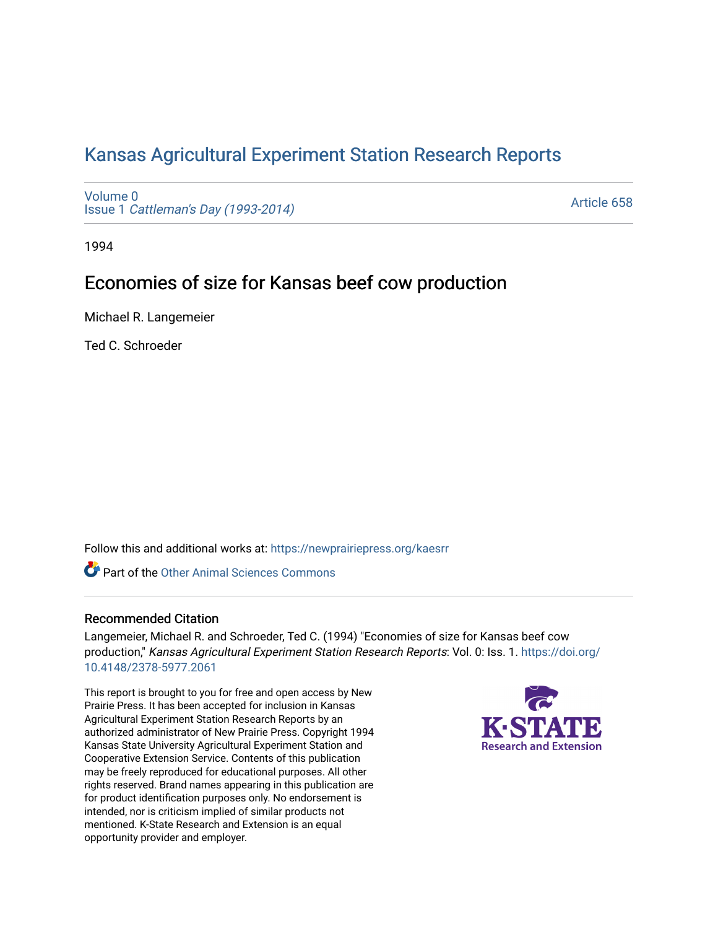# [Kansas Agricultural Experiment Station Research Reports](https://newprairiepress.org/kaesrr)

[Volume 0](https://newprairiepress.org/kaesrr/vol0) Issue 1 [Cattleman's Day \(1993-2014\)](https://newprairiepress.org/kaesrr/vol0/iss1) 

[Article 658](https://newprairiepress.org/kaesrr/vol0/iss1/658) 

1994

## Economies of size for Kansas beef cow production

Michael R. Langemeier

Ted C. Schroeder

Follow this and additional works at: [https://newprairiepress.org/kaesrr](https://newprairiepress.org/kaesrr?utm_source=newprairiepress.org%2Fkaesrr%2Fvol0%2Fiss1%2F658&utm_medium=PDF&utm_campaign=PDFCoverPages) 

**C** Part of the [Other Animal Sciences Commons](http://network.bepress.com/hgg/discipline/82?utm_source=newprairiepress.org%2Fkaesrr%2Fvol0%2Fiss1%2F658&utm_medium=PDF&utm_campaign=PDFCoverPages)

## Recommended Citation

Langemeier, Michael R. and Schroeder, Ted C. (1994) "Economies of size for Kansas beef cow production," Kansas Agricultural Experiment Station Research Reports: Vol. 0: Iss. 1. [https://doi.org/](https://doi.org/10.4148/2378-5977.2061) [10.4148/2378-5977.2061](https://doi.org/10.4148/2378-5977.2061)

This report is brought to you for free and open access by New Prairie Press. It has been accepted for inclusion in Kansas Agricultural Experiment Station Research Reports by an authorized administrator of New Prairie Press. Copyright 1994 Kansas State University Agricultural Experiment Station and Cooperative Extension Service. Contents of this publication may be freely reproduced for educational purposes. All other rights reserved. Brand names appearing in this publication are for product identification purposes only. No endorsement is intended, nor is criticism implied of similar products not mentioned. K-State Research and Extension is an equal opportunity provider and employer.

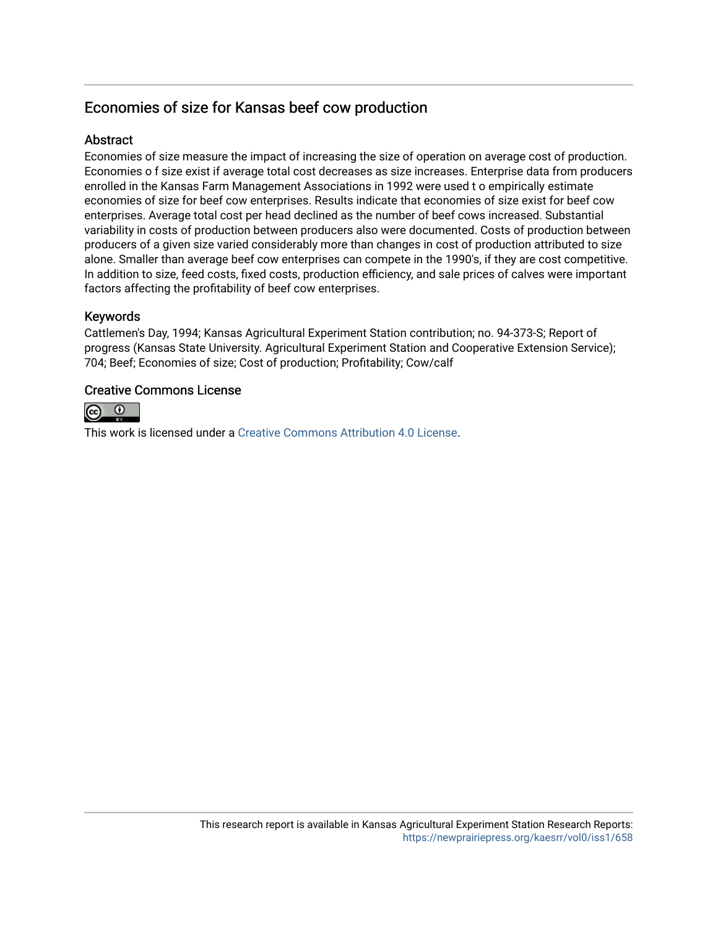## Economies of size for Kansas beef cow production

## **Abstract**

Economies of size measure the impact of increasing the size of operation on average cost of production. Economies o f size exist if average total cost decreases as size increases. Enterprise data from producers enrolled in the Kansas Farm Management Associations in 1992 were used t o empirically estimate economies of size for beef cow enterprises. Results indicate that economies of size exist for beef cow enterprises. Average total cost per head declined as the number of beef cows increased. Substantial variability in costs of production between producers also were documented. Costs of production between producers of a given size varied considerably more than changes in cost of production attributed to size alone. Smaller than average beef cow enterprises can compete in the 1990's, if they are cost competitive. In addition to size, feed costs, fixed costs, production efficiency, and sale prices of calves were important factors affecting the profitability of beef cow enterprises.

## Keywords

Cattlemen's Day, 1994; Kansas Agricultural Experiment Station contribution; no. 94-373-S; Report of progress (Kansas State University. Agricultural Experiment Station and Cooperative Extension Service); 704; Beef; Economies of size; Cost of production; Profitability; Cow/calf

## Creative Commons License



This work is licensed under a [Creative Commons Attribution 4.0 License](https://creativecommons.org/licenses/by/4.0/).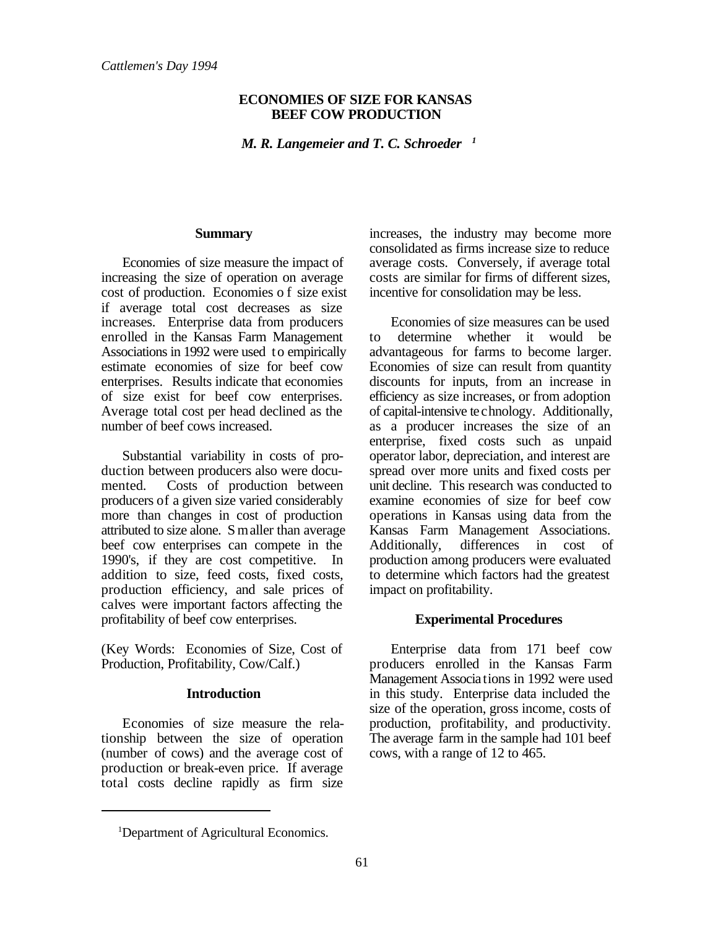### **ECONOMIES OF SIZE FOR KANSAS BEEF COW PRODUCTION**

*M. R. Langemeier and T. C. Schroeder 1*

#### **Summary**

Economies of size measure the impact of increasing the size of operation on average cost of production. Economies o f size exist if average total cost decreases as size increases. Enterprise data from producers enrolled in the Kansas Farm Management Associations in 1992 were used to empirically estimate economies of size for beef cow enterprises. Results indicate that economies of size exist for beef cow enterprises. Average total cost per head declined as the number of beef cows increased.

Substantial variability in costs of production between producers also were documented. Costs of production between producers of a given size varied considerably more than changes in cost of production attributed to size alone. S maller than average beef cow enterprises can compete in the 1990's, if they are cost competitive. In addition to size, feed costs, fixed costs, production efficiency, and sale prices of calves were important factors affecting the profitability of beef cow enterprises.

(Key Words: Economies of Size, Cost of Production, Profitability, Cow/Calf.)

### **Introduction**

Economies of size measure the relationship between the size of operation (number of cows) and the average cost of production or break-even price. If average total costs decline rapidly as firm size increases, the industry may become more consolidated as firms increase size to reduce average costs. Conversely, if average total costs are similar for firms of different sizes, incentive for consolidation may be less.

Economies of size measures can be used to determine whether it would be advantageous for farms to become larger. Economies of size can result from quantity discounts for inputs, from an increase in efficiency as size increases, or from adoption of capital-intensive technology. Additionally, as a producer increases the size of an enterprise, fixed costs such as unpaid operator labor, depreciation, and interest are spread over more units and fixed costs per unit decline. This research was conducted to examine economies of size for beef cow operations in Kansas using data from the Kansas Farm Management Associations. Additionally, differences in cost of production among producers were evaluated to determine which factors had the greatest impact on profitability.

#### **Experimental Procedures**

Enterprise data from 171 beef cow producers enrolled in the Kansas Farm Management Associations in 1992 were used in this study. Enterprise data included the size of the operation, gross income, costs of production, profitability, and productivity. The average farm in the sample had 101 beef cows, with a range of 12 to 465.

<sup>&</sup>lt;sup>1</sup>Department of Agricultural Economics.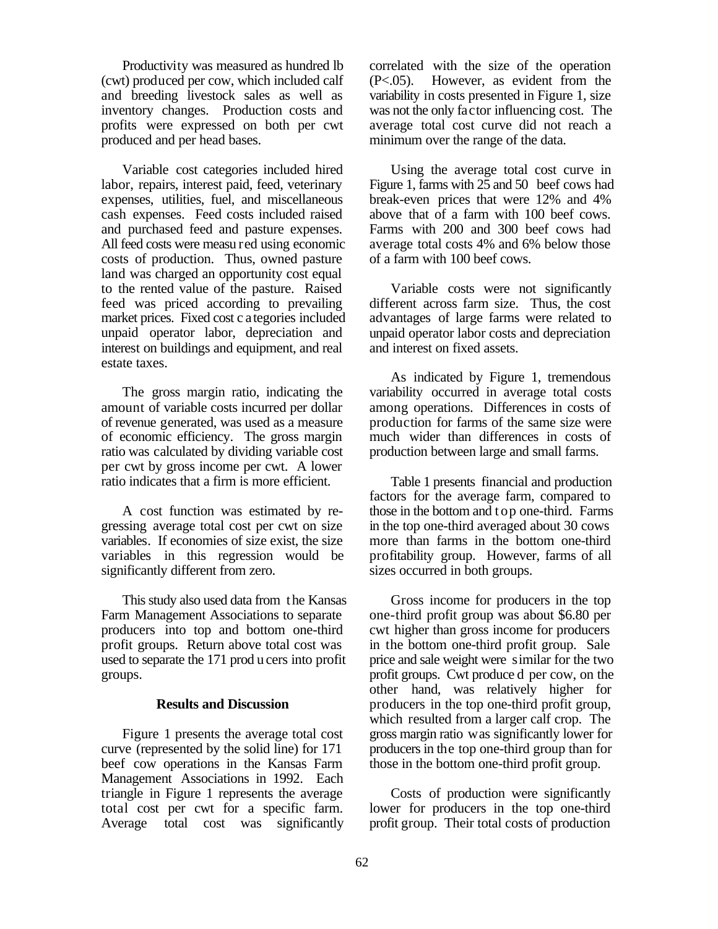Productivity was measured as hundred lb (cwt) produced per cow, which included calf and breeding livestock sales as well as inventory changes. Production costs and profits were expressed on both per cwt produced and per head bases.

Variable cost categories included hired labor, repairs, interest paid, feed, veterinary expenses, utilities, fuel, and miscellaneous cash expenses. Feed costs included raised and purchased feed and pasture expenses. All feed costs were measu red using economic costs of production. Thus, owned pasture land was charged an opportunity cost equal to the rented value of the pasture. Raised feed was priced according to prevailing market prices. Fixed cost c ategories included unpaid operator labor, depreciation and interest on buildings and equipment, and real estate taxes.

The gross margin ratio, indicating the amount of variable costs incurred per dollar of revenue generated, was used as a measure of economic efficiency. The gross margin ratio was calculated by dividing variable cost per cwt by gross income per cwt. A lower ratio indicates that a firm is more efficient.

A cost function was estimated by regressing average total cost per cwt on size variables. If economies of size exist, the size variables in this regression would be significantly different from zero.

This study also used data from the Kansas Farm Management Associations to separate producers into top and bottom one-third profit groups. Return above total cost was used to separate the 171 prod u cers into profit groups.

#### **Results and Discussion**

Figure 1 presents the average total cost curve (represented by the solid line) for 171 beef cow operations in the Kansas Farm Management Associations in 1992. Each triangle in Figure 1 represents the average total cost per cwt for a specific farm. Average total cost was significantly correlated with the size of the operation (P<.05). However, as evident from the variability in costs presented in Figure 1, size was not the only factor influencing cost. The average total cost curve did not reach a minimum over the range of the data.

Using the average total cost curve in Figure 1, farms with 25 and 50 beef cows had break-even prices that were 12% and 4% above that of a farm with 100 beef cows. Farms with 200 and 300 beef cows had average total costs 4% and 6% below those of a farm with 100 beef cows.

Variable costs were not significantly different across farm size. Thus, the cost advantages of large farms were related to unpaid operator labor costs and depreciation and interest on fixed assets.

As indicated by Figure 1, tremendous variability occurred in average total costs among operations. Differences in costs of production for farms of the same size were much wider than differences in costs of production between large and small farms.

Table 1 presents financial and production factors for the average farm, compared to those in the bottom and t op one-third. Farms in the top one-third averaged about 30 cows more than farms in the bottom one-third profitability group. However, farms of all sizes occurred in both groups.

Gross income for producers in the top one-third profit group was about \$6.80 per cwt higher than gross income for producers in the bottom one-third profit group. Sale price and sale weight were similar for the two profit groups. Cwt produce d per cow, on the other hand, was relatively higher for producers in the top one-third profit group, which resulted from a larger calf crop. The gross margin ratio was significantly lower for producers in the top one-third group than for those in the bottom one-third profit group.

Costs of production were significantly lower for producers in the top one-third profit group. Their total costs of production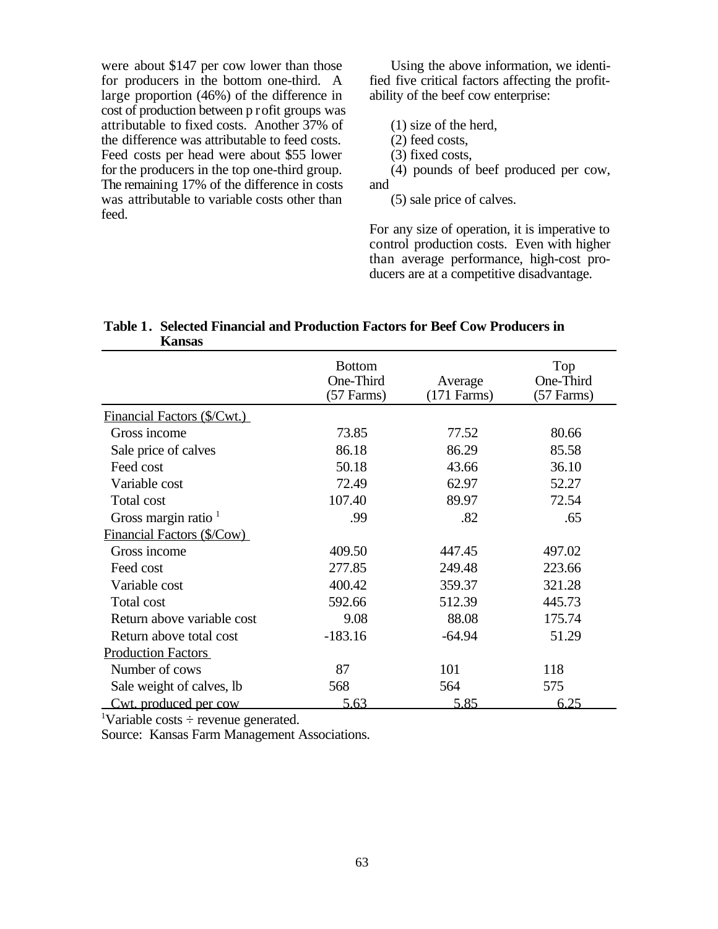were about \$147 per cow lower than those for producers in the bottom one-third. A large proportion (46%) of the difference in cost of production between p rofit groups was attributable to fixed costs. Another 37% of the difference was attributable to feed costs. Feed costs per head were about \$55 lower for the producers in the top one-third group. The remaining 17% of the difference in costs was attributable to variable costs other than feed.

Using the above information, we identified five critical factors affecting the profitability of the beef cow enterprise:

(1) size of the herd,

(2) feed costs,

(3) fixed costs,

(4) pounds of beef produced per cow, and

(5) sale price of calves.

For any size of operation, it is imperative to control production costs. Even with higher than average performance, high-cost producers are at a competitive disadvantage.

| IXUJIBUD                           |                                            |                          |                                  |
|------------------------------------|--------------------------------------------|--------------------------|----------------------------------|
|                                    | <b>Bottom</b><br>One-Third<br>$(57$ Farms) | Average<br>$(171$ Farms) | Top<br>One-Third<br>$(57$ Farms) |
| <b>Financial Factors (\$/Cwt.)</b> |                                            |                          |                                  |
| Gross income                       | 73.85                                      | 77.52                    | 80.66                            |
| Sale price of calves               | 86.18                                      | 86.29                    | 85.58                            |
| Feed cost                          | 50.18                                      | 43.66                    | 36.10                            |
| Variable cost                      | 72.49                                      | 62.97                    | 52.27                            |
| Total cost                         | 107.40                                     | 89.97                    | 72.54                            |
| Gross margin ratio $1$             | .99                                        | .82                      | .65                              |
| Financial Factors (\$/Cow)         |                                            |                          |                                  |
| Gross income                       | 409.50                                     | 447.45                   | 497.02                           |
| Feed cost                          | 277.85                                     | 249.48                   | 223.66                           |
| Variable cost                      | 400.42                                     | 359.37                   | 321.28                           |
| Total cost                         | 592.66                                     | 512.39                   | 445.73                           |
| Return above variable cost         | 9.08                                       | 88.08                    | 175.74                           |
| Return above total cost            | $-183.16$                                  | $-64.94$                 | 51.29                            |
| <b>Production Factors</b>          |                                            |                          |                                  |
| Number of cows                     | 87                                         | 101                      | 118                              |
| Sale weight of calves, lb          | 568                                        | 564                      | 575                              |
| Cwt. produced per cow              | 5.63                                       | 5.85                     | 6.25                             |

| Table 1. Selected Financial and Production Factors for Beef Cow Producers in |
|------------------------------------------------------------------------------|
| <b>Kansas</b>                                                                |

<sup>1</sup>Variable costs  $\div$  revenue generated.

Source: Kansas Farm Management Associations.